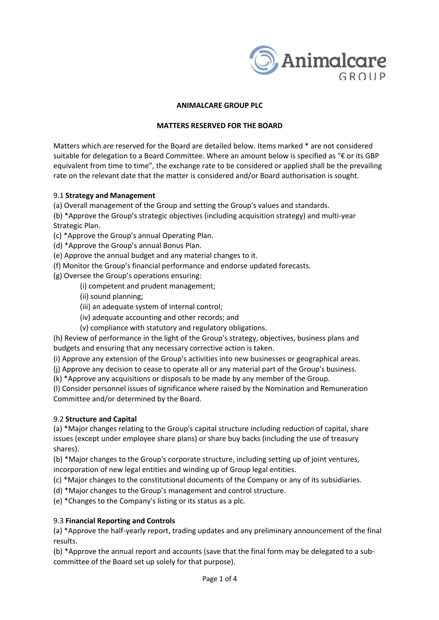

### **ANIMALCARE GROUP PLC**

### **MATTERS RESERVED FOR THE BOARD**

Matters which are reserved for the Board are detailed below. Items marked \* are not considered suitable for delegation to a Board Committee. Where an amount below is specified as "€ or its GBP equivalent from time to time", the exchange rate to be considered or applied shall be the prevailing rate on the relevant date that the matter is considered and/or Board authorisation is sought.

### 9.1 **Strategy and Management**

(a) Overall management of the Group and setting the Group's values and standards.

(b) \*Approve the Group's strategic objectives (including acquisition strategy) and multi-year Strategic Plan.

(c) \*Approve the Group's annual Operating Plan.

(d) \*Approve the Group's annual Bonus Plan.

(e) Approve the annual budget and any material changes to it.

(f) Monitor the Group's financial performance and endorse updated forecasts.

(g) Oversee the Group's operations ensuring:

- (i) competent and prudent management;
- (ii) sound planning;
- (iii) an adequate system of internal control;
- (iv) adequate accounting and other records; and
- (v) compliance with statutory and regulatory obligations.

(h) Review of performance in the light of the Group's strategy, objectives, business plans and budgets and ensuring that any necessary corrective action is taken.

(i) Approve any extension of the Group's activities into new businesses or geographical areas.

(j) Approve any decision to cease to operate all or any material part of the Group's business.

(k) \*Approve any acquisitions or disposals to be made by any member of the Group.

(l) Consider personnel issues of significance where raised by the Nomination and Remuneration Committee and/or determined by the Board.

### 9.2 **Structure and Capital**

(a) \*Major changes relating to the Group's capital structure including reduction of capital, share issues (except under employee share plans) or share buy backs (including the use of treasury shares).

(b) \*Major changes to the Group's corporate structure, including setting up of joint ventures, incorporation of new legal entities and winding up of Group legal entities.

(c) \*Major changes to the constitutional documents of the Company or any of its subsidiaries.

(d) \*Major changes to the Group's management and control structure.

(e) \*Changes to the Company's listing or its status as a plc.

### 9.3 **Financial Reporting and Controls**

(a) \*Approve the half-yearly report, trading updates and any preliminary announcement of the final results.

(b) \*Approve the annual report and accounts (save that the final form may be delegated to a subcommittee of the Board set up solely for that purpose).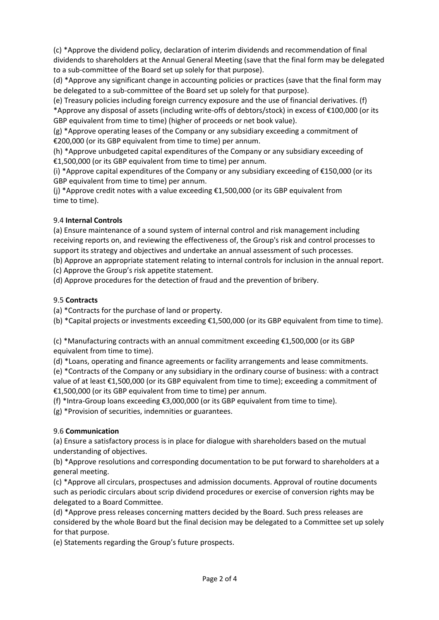(c) \*Approve the dividend policy, declaration of interim dividends and recommendation of final dividends to shareholders at the Annual General Meeting (save that the final form may be delegated to a sub-committee of the Board set up solely for that purpose).

(d) \*Approve any significant change in accounting policies or practices (save that the final form may be delegated to a sub-committee of the Board set up solely for that purpose).

(e) Treasury policies including foreign currency exposure and the use of financial derivatives. (f) \*Approve any disposal of assets (including write-offs of debtors/stock) in excess of €100,000 (or its GBP equivalent from time to time) (higher of proceeds or net book value).

(g) \*Approve operating leases of the Company or any subsidiary exceeding a commitment of €200,000 (or its GBP equivalent from time to time) per annum.

(h) \*Approve unbudgeted capital expenditures of the Company or any subsidiary exceeding of €1,500,000 (or its GBP equivalent from time to time) per annum.

(i) \*Approve capital expenditures of the Company or any subsidiary exceeding of €150,000 (or its GBP equivalent from time to time) per annum.

(i) \*Approve credit notes with a value exceeding  $£1,500,000$  (or its GBP equivalent from time to time).

## 9.4 **Internal Controls**

(a) Ensure maintenance of a sound system of internal control and risk management including receiving reports on, and reviewing the effectiveness of, the Group's risk and control processes to support its strategy and objectives and undertake an annual assessment of such processes.

(b) Approve an appropriate statement relating to internal controls for inclusion in the annual report.

(c) Approve the Group's risk appetite statement.

(d) Approve procedures for the detection of fraud and the prevention of bribery.

## 9.5 **Contracts**

(a) \*Contracts for the purchase of land or property.

(b) \*Capital projects or investments exceeding €1,500,000 (or its GBP equivalent from time to time).

(c) \*Manufacturing contracts with an annual commitment exceeding €1,500,000 (or its GBP equivalent from time to time).

(d) \*Loans, operating and finance agreements or facility arrangements and lease commitments.

(e) \*Contracts of the Company or any subsidiary in the ordinary course of business: with a contract value of at least €1,500,000 (or its GBP equivalent from time to time); exceeding a commitment of €1,500,000 (or its GBP equivalent from time to time) per annum.

(f) \*Intra-Group loans exceeding  $\epsilon$ 3,000,000 (or its GBP equivalent from time to time).

(g) \*Provision of securities, indemnities or guarantees.

## 9.6 **Communication**

(a) Ensure a satisfactory process is in place for dialogue with shareholders based on the mutual understanding of objectives.

(b) \*Approve resolutions and corresponding documentation to be put forward to shareholders at a general meeting.

(c) \*Approve all circulars, prospectuses and admission documents. Approval of routine documents such as periodic circulars about scrip dividend procedures or exercise of conversion rights may be delegated to a Board Committee.

(d) \*Approve press releases concerning matters decided by the Board. Such press releases are considered by the whole Board but the final decision may be delegated to a Committee set up solely for that purpose.

(e) Statements regarding the Group's future prospects.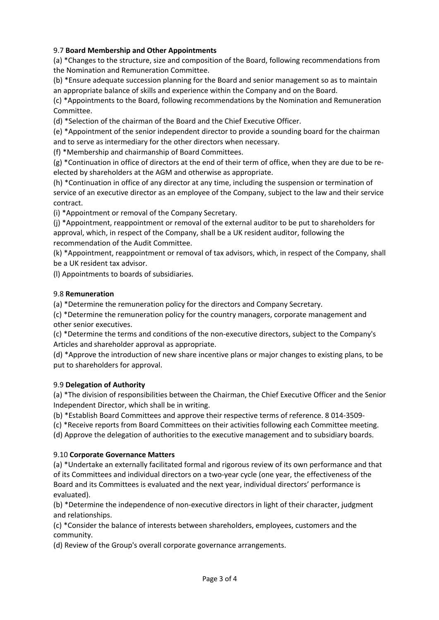## 9.7 **Board Membership and Other Appointments**

(a) \*Changes to the structure, size and composition of the Board, following recommendations from the Nomination and Remuneration Committee.

(b) \*Ensure adequate succession planning for the Board and senior management so as to maintain an appropriate balance of skills and experience within the Company and on the Board.

(c) \*Appointments to the Board, following recommendations by the Nomination and Remuneration Committee.

(d) \*Selection of the chairman of the Board and the Chief Executive Officer.

(e) \*Appointment of the senior independent director to provide a sounding board for the chairman and to serve as intermediary for the other directors when necessary.

(f) \*Membership and chairmanship of Board Committees.

(g) \*Continuation in office of directors at the end of their term of office, when they are due to be reelected by shareholders at the AGM and otherwise as appropriate.

(h) \*Continuation in office of any director at any time, including the suspension or termination of service of an executive director as an employee of the Company, subject to the law and their service contract.

(i) \*Appointment or removal of the Company Secretary.

(j) \*Appointment, reappointment or removal of the external auditor to be put to shareholders for approval, which, in respect of the Company, shall be a UK resident auditor, following the recommendation of the Audit Committee.

(k) \*Appointment, reappointment or removal of tax advisors, which, in respect of the Company, shall be a UK resident tax advisor.

(l) Appointments to boards of subsidiaries.

## 9.8 **Remuneration**

(a) \*Determine the remuneration policy for the directors and Company Secretary.

(c) \*Determine the remuneration policy for the country managers, corporate management and other senior executives.

(c) \*Determine the terms and conditions of the non-executive directors, subject to the Company's Articles and shareholder approval as appropriate.

(d) \*Approve the introduction of new share incentive plans or major changes to existing plans, to be put to shareholders for approval.

## 9.9 **Delegation of Authority**

(a) \*The division of responsibilities between the Chairman, the Chief Executive Officer and the Senior Independent Director, which shall be in writing.

(b) \*Establish Board Committees and approve their respective terms of reference. 8 014-3509-

(c) \*Receive reports from Board Committees on their activities following each Committee meeting.

(d) Approve the delegation of authorities to the executive management and to subsidiary boards.

## 9.10 **Corporate Governance Matters**

(a) \*Undertake an externally facilitated formal and rigorous review of its own performance and that of its Committees and individual directors on a two-year cycle (one year, the effectiveness of the Board and its Committees is evaluated and the next year, individual directors' performance is evaluated).

(b) \*Determine the independence of non-executive directors in light of their character, judgment and relationships.

(c) \*Consider the balance of interests between shareholders, employees, customers and the community.

(d) Review of the Group's overall corporate governance arrangements.